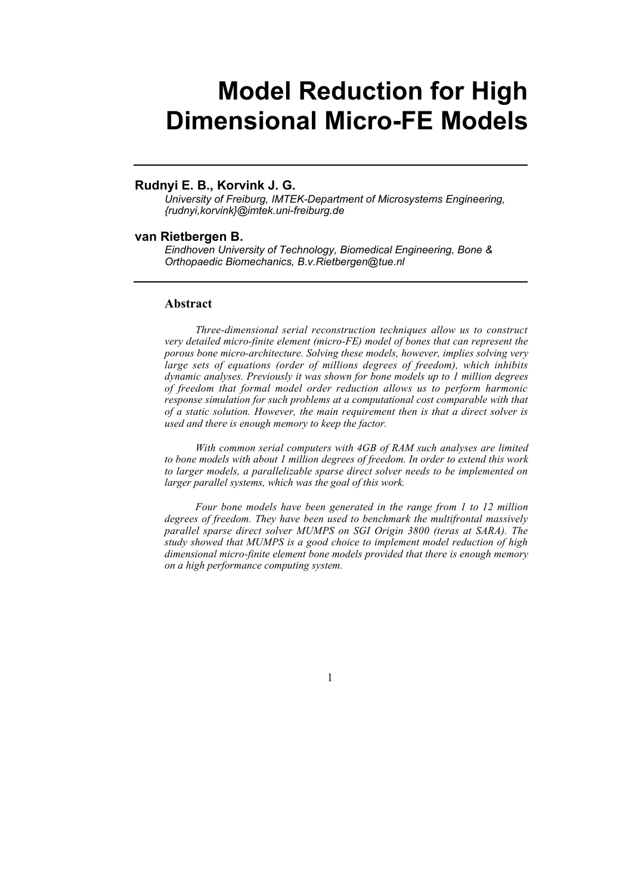# **Model Reduction for High Dimensional Micro-FE Models**

## **Rudnyi E. B., Korvink J. G.**

*University of Freiburg, IMTEK-Department of Microsystems Engineering, {rudnyi,korvink}@imtek.uni-freiburg.de*

#### **van Rietbergen B.**

*Eindhoven University of Technology, Biomedical Engineering, Bone & Orthopaedic Biomechanics, B.v.Rietbergen@tue.nl*

#### **Abstract**

*Three-dimensional serial reconstruction techniques allow us to construct very detailed micro-finite element (micro-FE) model of bones that can represent the porous bone micro-architecture. Solving these models, however, implies solving very large sets of equations (order of millions degrees of freedom), which inhibits dynamic analyses. Previously it was shown for bone models up to 1 million degrees of freedom that formal model order reduction allows us to perform harmonic response simulation for such problems at a computational cost comparable with that of a static solution. However, the main requirement then is that a direct solver is used and there is enough memory to keep the factor.*

*With common serial computers with 4GB of RAM such analyses are limited to bone models with about 1 million degrees of freedom. In order to extend this work to larger models, a parallelizable sparse direct solver needs to be implemented on larger parallel systems, which was the goal of this work.*

*Four bone models have been generated in the range from 1 to 12 million degrees of freedom. They have been used to benchmark the multifrontal massively parallel sparse direct solver MUMPS on SGI Origin 3800 (teras at SARA). The study showed that MUMPS is a good choice to implement model reduction of high dimensional micro-finite element bone models provided that there is enough memory on a high performance computing system.*

1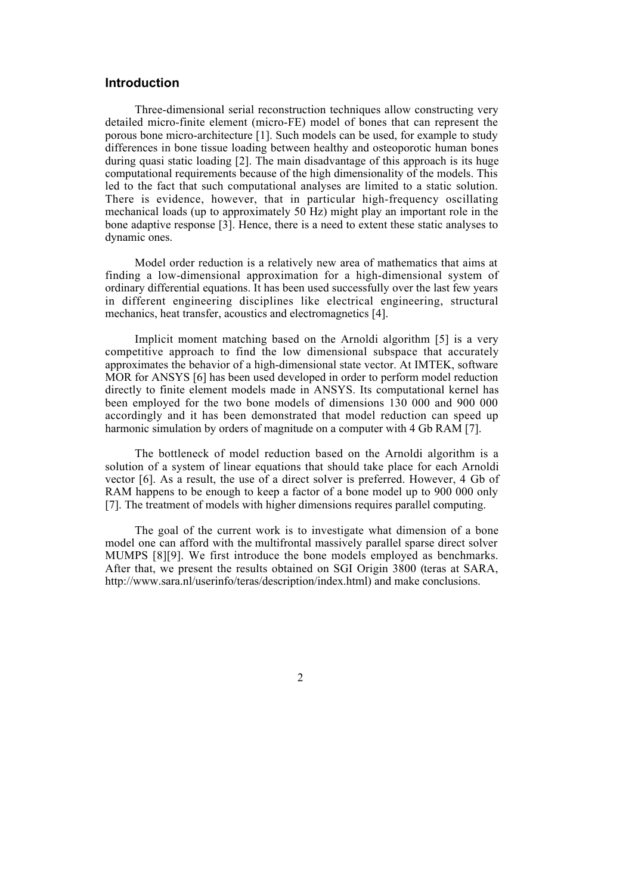## **Introduction**

Three-dimensional serial reconstruction techniques allow constructing very detailed micro-finite element (micro-FE) model of bones that can represent the porous bone micro-architecture [1]. Such models can be used, for example to study differences in bone tissue loading between healthy and osteoporotic human bones during quasi static loading [2]. The main disadvantage of this approach is its huge computational requirements because of the high dimensionality of the models. This led to the fact that such computational analyses are limited to a static solution. There is evidence, however, that in particular high-frequency oscillating mechanical loads (up to approximately 50 Hz) might play an important role in the bone adaptive response [3]. Hence, there is a need to extent these static analyses to dynamic ones.

Model order reduction is a relatively new area of mathematics that aims at finding a low-dimensional approximation for a high-dimensional system of ordinary differential equations. It has been used successfully over the last few years in different engineering disciplines like electrical engineering, structural mechanics, heat transfer, acoustics and electromagnetics [4].

Implicit moment matching based on the Arnoldi algorithm [5] is a very competitive approach to find the low dimensional subspace that accurately approximates the behavior of a high-dimensional state vector. At IMTEK, software MOR for ANSYS [6] has been used developed in order to perform model reduction directly to finite element models made in ANSYS. Its computational kernel has been employed for the two bone models of dimensions 130 000 and 900 000 accordingly and it has been demonstrated that model reduction can speed up harmonic simulation by orders of magnitude on a computer with 4 Gb RAM [7].

The bottleneck of model reduction based on the Arnoldi algorithm is a solution of a system of linear equations that should take place for each Arnoldi vector [6]. As a result, the use of a direct solver is preferred. However, 4 Gb of RAM happens to be enough to keep a factor of a bone model up to 900 000 only [7]. The treatment of models with higher dimensions requires parallel computing.

The goal of the current work is to investigate what dimension of a bone model one can afford with the multifrontal massively parallel sparse direct solver MUMPS [8][9]. We first introduce the bone models employed as benchmarks. After that, we present the results obtained on SGI Origin 3800 (teras at SARA, http://www.sara.nl/userinfo/teras/description/index.html) and make conclusions.

2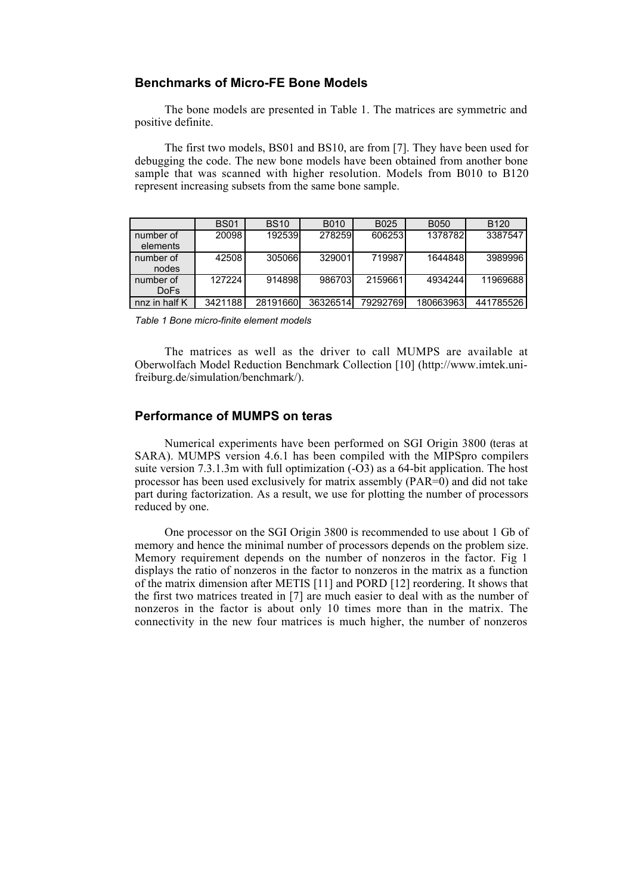# **Benchmarks of Micro-FE Bone Models**

The bone models are presented in Table 1. The matrices are symmetric and positive definite.

The first two models, BS01 and BS10, are from [7]. They have been used for debugging the code. The new bone models have been obtained from another bone sample that was scanned with higher resolution. Models from B010 to B120 represent increasing subsets from the same bone sample.

|                               | <b>BS01</b> | <b>BS10</b> | B010     | B025     | <b>B050</b> | B <sub>120</sub> |
|-------------------------------|-------------|-------------|----------|----------|-------------|------------------|
| number of<br>elements         | 20098       | 192539      | 278259   | 606253   | 1378782     | 3387547          |
| number of<br>nodes            | 42508       | 305066      | 329001   | 719987   | 1644848     | 3989996          |
| number of<br>Do <sub>Fs</sub> | 127224      | 914898      | 986703   | 2159661  | 4934244     | 11969688         |
| nnz in half K                 | 3421188     | 28191660    | 36326514 | 79292769 | 180663963   | 441785526        |

*Table 1 Bone micro-finite element models*

The matrices as well as the driver to call MUMPS are available at Oberwolfach Model Reduction Benchmark Collection [10] (http://www.imtek.unifreiburg.de/simulation/benchmark/).

# **Performance of MUMPS on teras**

Numerical experiments have been performed on SGI Origin 3800 (teras at SARA). MUMPS version 4.6.1 has been compiled with the MIPSpro compilers suite version 7.3.1.3m with full optimization (-O3) as a 64-bit application. The host processor has been used exclusively for matrix assembly (PAR=0) and did not take part during factorization. As a result, we use for plotting the number of processors reduced by one.

One processor on the SGI Origin 3800 is recommended to use about 1 Gb of memory and hence the minimal number of processors depends on the problem size. Memory requirement depends on the number of nonzeros in the factor. Fig 1 displays the ratio of nonzeros in the factor to nonzeros in the matrix as a function of the matrix dimension after METIS [11] and PORD [12] reordering. It shows that the first two matrices treated in [7] are much easier to deal with as the number of nonzeros in the factor is about only 10 times more than in the matrix. The connectivity in the new four matrices is much higher, the number of nonzeros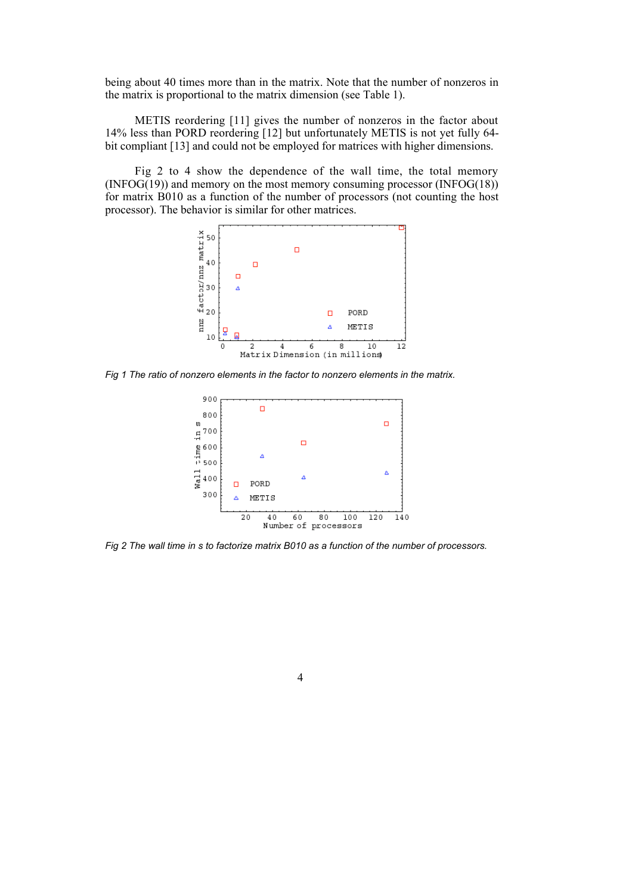being about 40 times more than in the matrix. Note that the number of nonzeros in the matrix is proportional to the matrix dimension (see Table 1).

METIS reordering [11] gives the number of nonzeros in the factor about 14% less than PORD reordering [12] but unfortunately METIS is not yet fully 64 bit compliant [13] and could not be employed for matrices with higher dimensions.

Fig 2 to 4 show the dependence of the wall time, the total memory (INFOG(19)) and memory on the most memory consuming processor (INFOG(18)) for matrix B010 as a function of the number of processors (not counting the host processor). The behavior is similar for other matrices.



*Fig 1 The ratio of nonzero elements in the factor to nonzero elements in the matrix.*



*Fig 2 The wall time in s to factorize matrix B010 as a function of the number of processors.*

4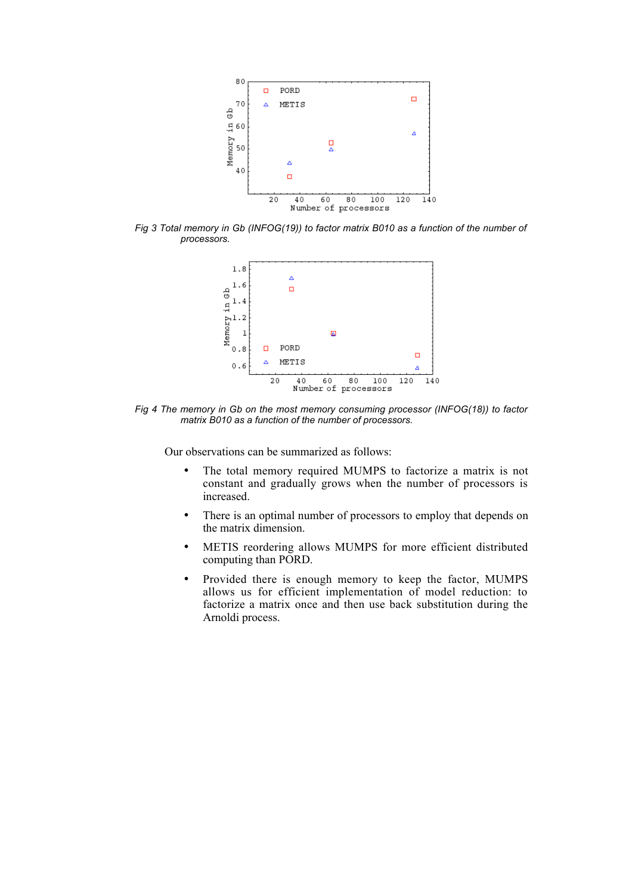

*Fig 3 Total memory in Gb (INFOG(19)) to factor matrix B010 as a function of the number of processors.*



*Fig 4 The memory in Gb on the most memory consuming processor (INFOG(18)) to factor matrix B010 as a function of the number of processors.*

Our observations can be summarized as follows:

- The total memory required MUMPS to factorize a matrix is not constant and gradually grows when the number of processors is increased.
- There is an optimal number of processors to employ that depends on the matrix dimension.
- METIS reordering allows MUMPS for more efficient distributed computing than PORD.
- Provided there is enough memory to keep the factor, MUMPS allows us for efficient implementation of model reduction: to factorize a matrix once and then use back substitution during the Arnoldi process.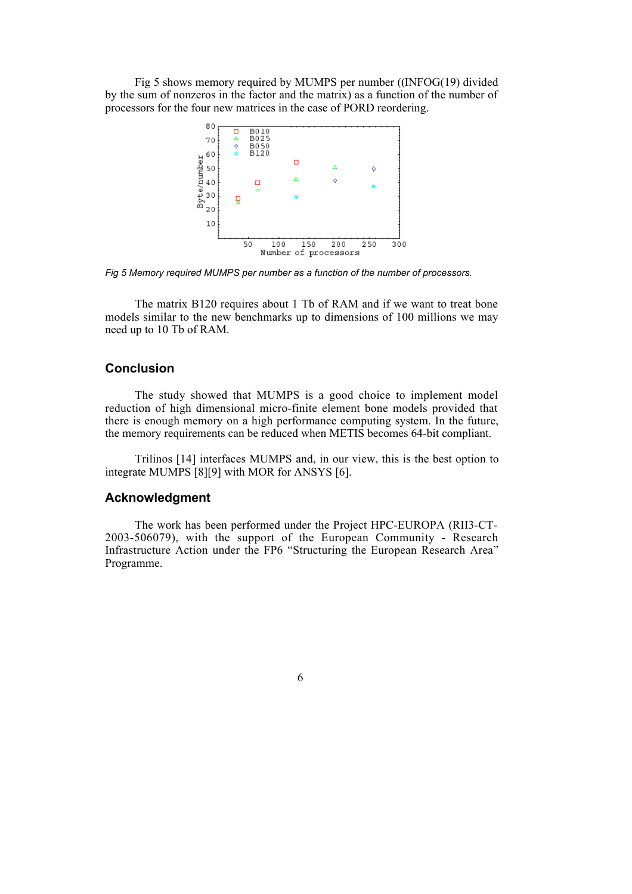Fig 5 shows memory required by MUMPS per number ((INFOG(19) divided by the sum of nonzeros in the factor and the matrix) as a function of the number of processors for the four new matrices in the case of PORD reordering.



*Fig 5 Memory required MUMPS per number as a function of the number of processors.*

The matrix B120 requires about 1 Tb of RAM and if we want to treat bone models similar to the new benchmarks up to dimensions of 100 millions we may need up to 10 Tb of RAM.

# **Conclusion**

The study showed that MUMPS is a good choice to implement model reduction of high dimensional micro-finite element bone models provided that there is enough memory on a high performance computing system. In the future, the memory requirements can be reduced when METIS becomes 64-bit compliant.

Trilinos [14] interfaces MUMPS and, in our view, this is the best option to integrate MUMPS [8][9] with MOR for ANSYS [6].

## **Acknowledgment**

The work has been performed under the Project HPC-EUROPA (RII3-CT-2003-506079), with the support of the European Community - Research Infrastructure Action under the FP6 "Structuring the European Research Area" Programme.